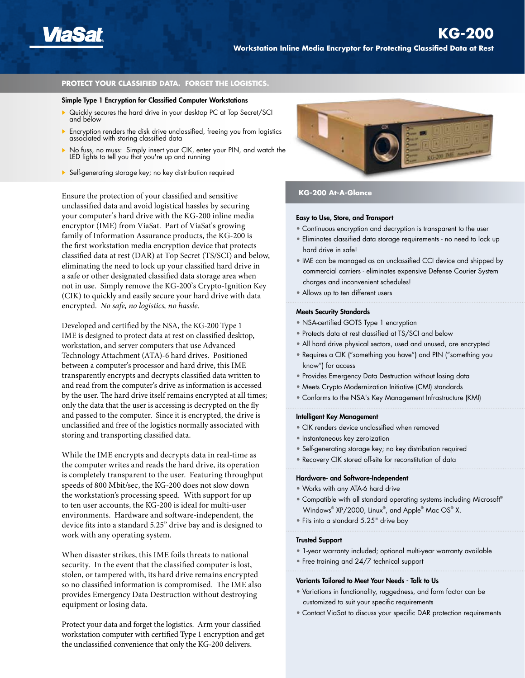

### **PROTECT YOUR CLASSIFIED DATA. FORGET THE LOGISTICS.**

#### Simple Type 1 Encryption for Classified Computer Workstations

- ▶ Quickly secures the hard drive in your desktop PC at Top Secret/SCI and below
- Encryption renders the disk drive unclassified, freeing you from logistics associated with storing classified data
- No fuss, no muss: Simply insert your CIK, enter your PIN, and watch the LED lights to tell you that you're up and running
- Self-generating storage key; no key distribution required

Ensure the protection of your classified and sensitive unclassified data and avoid logistical hassles by securing your computer's hard drive with the KG-200 inline media encryptor (IME) from ViaSat. Part of ViaSat's growing family of Information Assurance products, the KG-200 is the first workstation media encryption device that protects classified data at rest (DAR) at Top Secret (TS/SCI) and below, eliminating the need to lock up your classified hard drive in a safe or other designated classified data storage area when not in use. Simply remove the KG-200's Crypto-Ignition Key (CIK) to quickly and easily secure your hard drive with data encrypted. *No safe, no logistics, no hassle.*

Developed and certified by the NSA, the KG-200 Type 1 IME is designed to protect data at rest on classified desktop, workstation, and server computers that use Advanced Technology Attachment (ATA)-6 hard drives. Positioned between a computer's processor and hard drive, this IME transparently encrypts and decrypts classified data written to and read from the computer's drive as information is accessed by the user. The hard drive itself remains encrypted at all times; only the data that the user is accessing is decrypted on the fly and passed to the computer. Since it is encrypted, the drive is unclassified and free of the logistics normally associated with storing and transporting classified data.

While the IME encrypts and decrypts data in real-time as the computer writes and reads the hard drive, its operation is completely transparent to the user. Featuring throughput speeds of 800 Mbit/sec, the KG-200 does not slow down the workstation's processing speed. With support for up to ten user accounts, the KG-200 is ideal for multi-user environments. Hardware and software-independent, the device fits into a standard 5.25" drive bay and is designed to work with any operating system.

When disaster strikes, this IME foils threats to national security. In the event that the classified computer is lost, stolen, or tampered with, its hard drive remains encrypted so no classified information is compromised. The IME also provides Emergency Data Destruction without destroying equipment or losing data.

Protect your data and forget the logistics. Arm your classified workstation computer with certified Type 1 encryption and get the unclassified convenience that only the KG-200 delivers.



## **KG-200 At-A-Glance**

#### Easy to Use, Store, and Transport

- Continuous encryption and decryption is transparent to the user
- Eliminates classified data storage requirements no need to lock up hard drive in safe!
- IME can be managed as an unclassified CCI device and shipped by commercial carriers - eliminates expensive Defense Courier System charges and inconvenient schedules!
- Allows up to ten different users

## Meets Security Standards

- NSA-certified GOTS Type 1 encryption
- Protects data at rest classified at TS/SCI and below
- All hard drive physical sectors, used and unused, are encrypted
- Requires a CIK ("something you have") and PIN ("something you know") for access
- Provides Emergency Data Destruction without losing data
- Meets Crypto Modernization Initiative (CMI) standards
- Conforms to the NSA's Key Management Infrastructure (KMI)

#### Intelligent Key Management

- CIK renders device unclassified when removed
- Instantaneous key zeroization
- Self-generating storage key; no key distribution required
- Recovery CIK stored off-site for reconstitution of data

#### Hardware- and Software-Independent

- Works with any ATA-6 hard drive
- Compatible with all standard operating systems including Microsoft® Windows® XP/2000, Linux® , and Apple® Mac OS® X.
- Fits into a standard 5.25" drive bay

#### Trusted Support

- 1-year warranty included; optional multi-year warranty available
- Free training and 24/7 technical support

### Variants Tailored to Meet Your Needs - Talk to Us

- Variations in functionality, ruggedness, and form factor can be customized to suit your specific requirements
- Contact ViaSat to discuss your specific DAR protection requirements